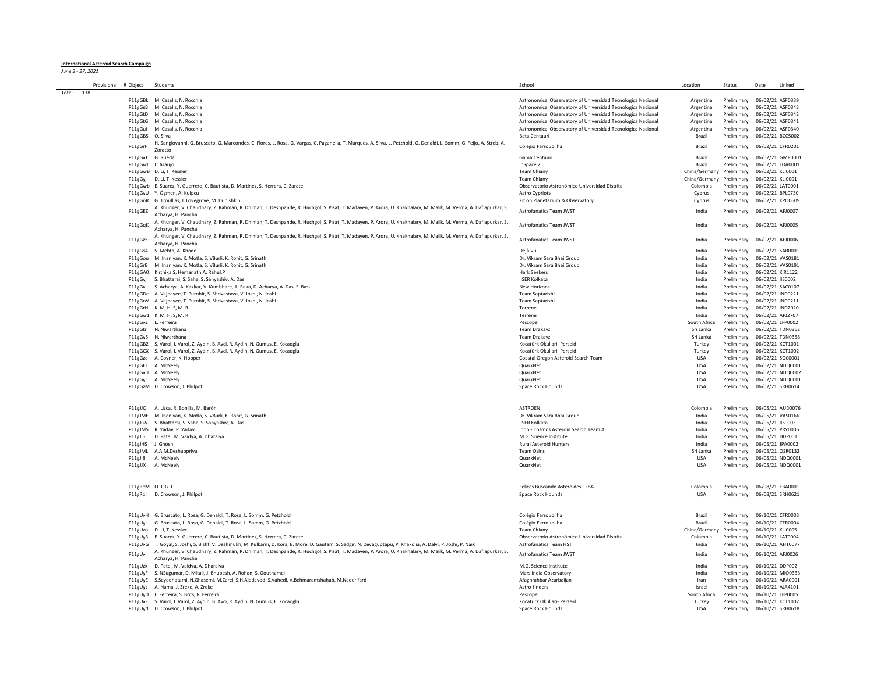## **International Asteroid Search Campaign** *June 2 - 27, 2021*

|        | Provisional # Object |                   | Students                                                                                                                                                                                 | School                                                       | Location                  | Status                       | Date             | Linked |
|--------|----------------------|-------------------|------------------------------------------------------------------------------------------------------------------------------------------------------------------------------------------|--------------------------------------------------------------|---------------------------|------------------------------|------------------|--------|
| Total: | 138                  |                   |                                                                                                                                                                                          |                                                              |                           |                              |                  |        |
|        |                      |                   | P11gGBk M. Casalis, N. Rocchia                                                                                                                                                           | Astronomical Observatory of Universidad Tecnológica Nacional | Argentina                 | Preliminary                  | 06/02/21 ASF0339 |        |
|        |                      |                   | P11gGsB M. Casalis, N. Rocchia                                                                                                                                                           | Astronomical Observatory of Universidad Tecnológica Nacional | Argentina                 | Preliminary                  | 06/02/21 ASF0343 |        |
|        |                      |                   | P11gGtD M. Casalis, N. Rocchia                                                                                                                                                           | Astronomical Observatory of Universidad Tecnológica Nacional | Argentina                 | Preliminary                  | 06/02/21 ASF0342 |        |
|        |                      |                   | P11gGtG M. Casalis, N. Rocchia                                                                                                                                                           | Astronomical Observatory of Universidad Tecnológica Nacional | Argentina                 | Preliminary                  | 06/02/21 ASF0341 |        |
|        |                      |                   | P11gGui M. Casalis, N. Rocchia                                                                                                                                                           | Astronomical Observatory of Universidad Tecnológica Nacional | Argentina                 | Preliminary                  | 06/02/21 ASF0340 |        |
|        |                      | P11gGBS O. Silva  |                                                                                                                                                                                          | Beta Centauri                                                | Brazil                    | Preliminary 06/02/21 BCC5002 |                  |        |
|        |                      | P11gGrF           | H. Sangiovanni, G. Bruscato, G. Marcondes, C. Flores, L. Rosa, G. Vargas, C. Paganella, T. Marques, A. Silva, L. Petzhold, G. Denaldi, L. Somm, G. Feijo, A. Streb, A.<br><b>Zoratto</b> | Colégio Farroupilha                                          | <b>Brazil</b>             | Preliminary                  | 06/02/21 CFR0201 |        |
|        |                      | P11gGxT G. Rueda  |                                                                                                                                                                                          | Gama Centauri                                                | Brazil                    | Preliminary                  | 06/02/21 GMR0001 |        |
|        |                      | P11gGwl L. Araujo |                                                                                                                                                                                          | InSpace 2                                                    | Brazil                    | Preliminary                  | 06/02/21 LOA0001 |        |
|        |                      |                   | P11gGwB D. Li, T. Kessler                                                                                                                                                                | <b>Team Chiany</b>                                           | China/Germany Preliminary |                              | 06/02/21 KLI0001 |        |
|        |                      |                   | P11gGyj D. Li, T. Kessler                                                                                                                                                                | <b>Team Chiany</b>                                           | China/Germany             | Preliminary                  | 06/02/21 KLI0001 |        |
|        |                      |                   | P11gGwb E. Suarez, Y. Guerrero, C. Bautista, D. Martinez, S. Herrera, C. Zarate                                                                                                          | Observatorio Astronómico Universidad Distrital               | Colombia                  | Preliminary                  | 06/02/21 LAT0001 |        |
|        |                      |                   | P11gGvU Y. Ögmen, A. Kulpcu                                                                                                                                                              | Astro Cypriots                                               | Cyprus                    | Preliminary                  | 06/02/21 BPL0730 |        |
|        |                      |                   | P11gGnR G. Troullias, J. Lovegrove, M. Dubishkin                                                                                                                                         | Kition Planetarium & Observatory                             | Cyprus                    | Preliminary 06/02/21 KPO0609 |                  |        |
|        |                      |                   | A. Khunger, V. Chaudhary, Z. Rahman, R. Dhiman, T. Deshpande, R. Huchgol, S. Pisat, T. Madayen, P. Arora, U. Khakhalary, M. Malik, M. Verma, A. Daflapurkar, S.                          |                                                              |                           |                              |                  |        |
|        |                      | P11gGEZ           | Acharya, H. Panchal                                                                                                                                                                      | Astrofanatics Team JWST                                      | India                     | Preliminary 06/02/21 AFJ0007 |                  |        |
|        |                      | P11gGqK           | A. Khunger, V. Chaudhary, Z. Rahman, R. Dhiman, T. Deshpande, R. Huchgol, S. Pisat, T. Madayen, P. Arora, U. Khakhalary, M. Malik, M. Verma, A. Daflapurkar, S.<br>Acharva, H. Panchal   | Astrofanatics Team JWST                                      | India                     | Preliminary                  | 06/02/21 AFJ0005 |        |
|        |                      | P11gGz5           | A. Khunger, V. Chaudhary, Z. Rahman, R. Dhiman, T. Deshpande, R. Huchgol, S. Pisat, T. Madayen, P. Arora, U. Khakhalary, M. Malik, M. Verma, A. Daflapurkar, S.<br>Acharya, H. Panchal   | Astrofanatics Team JWST                                      | India                     | Preliminary                  | 06/02/21 AFJ0006 |        |
|        |                      |                   | P11gGs4 S. Mehta, A. Khade                                                                                                                                                               | Déià Vu                                                      | India                     | Preliminary                  | 06/02/21 SAR0001 |        |
|        |                      |                   | P11gGou M. Inaniyan, K. Motla, S. VBurli, K. Rohit, G. Srinath                                                                                                                           | Dr. Vikram Sara Bhai Group                                   | India                     | Preliminary                  | 06/02/21 VAS0181 |        |
|        |                      |                   | P11gGrB M. Inaniyan, K. Motla, S. VBurli, K. Rohit, G. Srinath                                                                                                                           | Dr. Vikram Sara Bhai Group                                   | India                     | Preliminary                  | 06/02/21 VAS0191 |        |
|        |                      |                   | P11gGA0 Kirthika.S, Hemanath.A, Rahul.P                                                                                                                                                  | Hark Seekers                                                 | India                     | Preliminary                  | 06/02/21 KIR1122 |        |
|        |                      |                   | P11gGvj S. Bhattarai, S. Saha, S. Sanyashiv, A. Das                                                                                                                                      | <b>IISER Kolkata</b>                                         | India                     | Preliminary                  | 06/02/21 IIS0002 |        |
|        |                      |                   | P11gGxL S. Acharya, A. Kakkar, V. Kumbhare, A. Raka, D. Acharya, A. Das, S. Basu                                                                                                         | New Horizons                                                 | India                     | Preliminary                  | 06/02/21 SAC0107 |        |
|        |                      |                   | P11gGDc A. Vajpayee, T. Purohit, S. Shrivastava, V. Joshi, N. Joshi                                                                                                                      | <b>Team Santarishi</b>                                       | India                     | Preliminary                  | 06/02/21 IND0221 |        |
|        |                      |                   | P11gGoV A. Vajpayee, T. Purohit, S. Shrivastava, V. Joshi, N. Joshi                                                                                                                      | Team Saptarishi                                              | India                     | Preliminary                  | 06/02/21 IND0211 |        |
|        |                      |                   | P11gGrH K. M, H. S, M. R                                                                                                                                                                 | Terrene                                                      | India                     | Preliminary                  | 06/02/21 IND2020 |        |
|        |                      |                   | P11gGw1 K. M, H. S, M. R                                                                                                                                                                 | Terrene                                                      | India                     | Preliminary                  | 06/02/21 APJ2707 |        |
|        |                      |                   | P11gGxZ L. Ferreira                                                                                                                                                                      | Pescope                                                      | South Africa              | Preliminary                  | 06/02/21 LFP0002 |        |
|        |                      |                   | P11gGtr N. Niwarthana                                                                                                                                                                    | Team Drakayz                                                 | Sri Lanka                 | Preliminary                  | 06/02/21 TDN0362 |        |
|        |                      |                   | P11gGv5 N. Niwarthana                                                                                                                                                                    | Team Drakavz                                                 | Sri Lanka                 | Preliminary                  | 06/02/21 TDN0358 |        |
|        |                      |                   | P11gGB2 S. Varol, I. Varol, Z. Aydin, B. Avci, R. Aydin, N. Gumus, E. Kocaoglu                                                                                                           | Kocatürk Okullari- Perseid                                   | Turkey                    | Preliminary                  | 06/02/21 KCT1001 |        |
|        |                      |                   | P11gGCX S. Varol, I. Varol, Z. Aydin, B. Avci, R. Aydin, N. Gumus, E. Kocaoglu                                                                                                           | Kocatürk Okullari- Perseid                                   | Turkey                    | Preliminary                  | 06/02/21 KCT1002 |        |
|        |                      |                   | P11gGze A. Coyner, K. Hopper                                                                                                                                                             | Coastal Oregon Asteroid Search Team                          | <b>USA</b>                | Preliminary                  | 06/02/21 SOC0001 |        |
|        |                      |                   | P11gGEL A. McNeely                                                                                                                                                                       | QuarkNet                                                     | <b>USA</b>                | Preliminary                  | 06/02/21 NDQ0001 |        |
|        |                      |                   | P11gGxU A. McNeely                                                                                                                                                                       | QuarkNet                                                     | <b>USA</b>                | Preliminary                  | 06/02/21 NDQ0002 |        |
|        |                      |                   | P11gGyl A. McNeely                                                                                                                                                                       | QuarkNet                                                     | <b>USA</b>                | Preliminary                  | 06/02/21 NDQ0001 |        |
|        |                      |                   | P11gGzM D. Crowson, J. Philpot                                                                                                                                                           | Space Rock Hounds                                            | <b>USA</b>                | Preliminary 06/02/21 SRH0614 |                  |        |
|        |                      |                   |                                                                                                                                                                                          |                                                              |                           |                              |                  |        |
|        |                      |                   | P11gJJC A. Lizca, R. Bonilla, M. Barón                                                                                                                                                   | ASTROEN                                                      | Colombia                  | Preliminary                  | 06/05/21 AUD0076 |        |
|        |                      |                   | P11gJME M. Inaniyan, K. Motla, S. VBurli, K. Rohit, G. Srinath                                                                                                                           | Dr. Vikram Sara Bhai Group                                   | India                     | Preliminary                  | 06/05/21 VAS0166 |        |
|        |                      |                   | P11gJGV S. Bhattarai, S. Saha, S. Sanyashiv, A. Das                                                                                                                                      | <b>IISER Kolkata</b>                                         | India                     | Preliminary                  | 06/05/21 IIS0003 |        |
|        |                      |                   | P11gJM5 R. Yadav, P. Yadav                                                                                                                                                               | Indo - Cosmos Asteroid Search Team A                         | India                     | Preliminary                  | 06/05/21 PRY0006 |        |
|        |                      |                   | P11gJI5 D. Patel, M. Vaidya, A. Dharaiya                                                                                                                                                 | M.G. Science Institute                                       | India                     | Preliminary                  | 06/05/21 DDP001  |        |
|        |                      | P11gJHS J. Ghosh  |                                                                                                                                                                                          | <b>Rural Asteroid Hunters</b>                                | India                     | Preliminary 06/05/21 JPA0002 |                  |        |
|        |                      |                   | P11gJML A.A.M.Deshappriya                                                                                                                                                                | <b>Team Osiris</b>                                           | Sri Lanka                 | Preliminary                  | 06/05/21 OSR0132 |        |
|        |                      |                   | P11gJI8 A. McNeely                                                                                                                                                                       | QuarkNet                                                     | <b>USA</b>                | Preliminary                  | 06/05/21 NDQ0001 |        |
|        |                      |                   | P11gJJX A. McNeely                                                                                                                                                                       | OuarkNet                                                     | <b>USA</b>                | Preliminary 06/05/21 NDQ0001 |                  |        |
|        |                      |                   |                                                                                                                                                                                          |                                                              |                           |                              |                  |        |
|        |                      | P11gReM 0.J, G.L  |                                                                                                                                                                                          | Felices Buscando Asteroides - FBA                            | Colombia                  | Preliminary 06/08/21 FBA0001 |                  |        |
|        |                      |                   | P11gRdI D. Crowson, J. Philpot                                                                                                                                                           | Space Rock Hounds                                            | <b>USA</b>                | Preliminary                  | 06/08/21 SRH0621 |        |
|        |                      |                   |                                                                                                                                                                                          |                                                              |                           |                              |                  |        |
|        |                      |                   | P11gUxH G. Bruscato, L. Rosa, G. Denaldi, T. Rosa, L. Somm, G. Petzhold                                                                                                                  | Colégio Farroupilha                                          | Brazil                    | Preliminary                  | 06/10/21 CFR0003 |        |
|        |                      |                   | P11gUyl G. Bruscato, L. Rosa, G. Denaldi, T. Rosa, L. Somm, G. Petzhold                                                                                                                  | Colégio Farroupilha                                          | Brazil                    | Preliminary                  | 06/10/21 CFR0004 |        |
|        |                      |                   | P11gUzo D. Li. T. Kessler                                                                                                                                                                | <b>Team Chiany</b>                                           | China/Germany             | Preliminary 06/10/21 KLI0005 |                  |        |
|        |                      |                   | P11gUy3 E. Suarez, Y. Guerrero, C. Bautista, D. Martinez, S. Herrera, C. Zarate                                                                                                          | Observatorio Astronómico Universidad Distrital               | Colombia                  | Preliminary 06/10/21 LAT0004 |                  |        |
|        |                      |                   | P11gUxG T. Goyal, S. Joshi, S. Bisht, V. Deshmukh, M. Kulkarni, D. Kora, B. More, D. Gautam, S. Sadgir, N. Devaguptapu, P. Khakolia, A. Dalvi, P. Joshi, P. Naik                         | <b>Astrofanatics Team HST</b>                                | India                     | Preliminary 06/10/21 AHT0077 |                  |        |
|        |                      | P11gUxl           | A. Khunger, V. Chaudhary, Z. Rahman, R. Dhiman, T. Deshpande, R. Huchgol, S. Pisat, T. Madayen, P. Arora, U. Khakhalary, M. Malik, M. Verma, A. Daflapurkar, S.                          | <b>Astrofanatics Team JWST</b>                               | India                     | Preliminary 06/10/21 AFJ0026 |                  |        |
|        |                      |                   | Acharya, H. Panchal                                                                                                                                                                      |                                                              |                           |                              |                  |        |
|        |                      |                   | P11gUzk D. Patel, M. Vaidya, A. Dharaiya                                                                                                                                                 | M.G. Science Institute                                       | India                     | Preliminary 06/10/21 DDP002  |                  |        |
|        |                      |                   | P11gUyF S. NSugumar, D. Mitali, J. Bhupesh, A. Rohan, S. Gouthamei                                                                                                                       | Mars India Observatory                                       | India                     | Preliminary 06/10/21 MIO0333 |                  |        |
|        |                      |                   | P11gUyE S.Seyedhatami, N.Ghasemi, M.Zarei, S.H.Aledavod, S.Vahedi, V.Behmaramshahab, M.Naderifard                                                                                        | Afaghrahbar Azarbaijan                                       | Iran                      | Preliminary 06/10/21 ARA0001 |                  |        |
|        |                      |                   | P11gUyt A. Nama, J. Zreke, A. Zreke                                                                                                                                                      | Astro-finders                                                | Israel                    | Preliminary 06/10/21 AJA4101 |                  |        |
|        |                      |                   | P11gUyD L. Ferreira, S. Brits, R. Ferreira                                                                                                                                               | Pescope                                                      | South Africa              | Preliminary 06/10/21 LFP0005 |                  |        |
|        |                      |                   | P11gUxF S. Varol, I. Varol, Z. Aydin, B. Avci, R. Aydin, N. Gumus, E. Kocaoglu                                                                                                           | Kocatürk Okullari- Perseid                                   | Turkey                    | Preliminary 06/10/21 KCT1007 |                  |        |
|        |                      |                   | P11gUyd D. Crowson, J. Philpot                                                                                                                                                           | Space Rock Hounds                                            | <b>USA</b>                | Preliminary 06/10/21 SRH0618 |                  |        |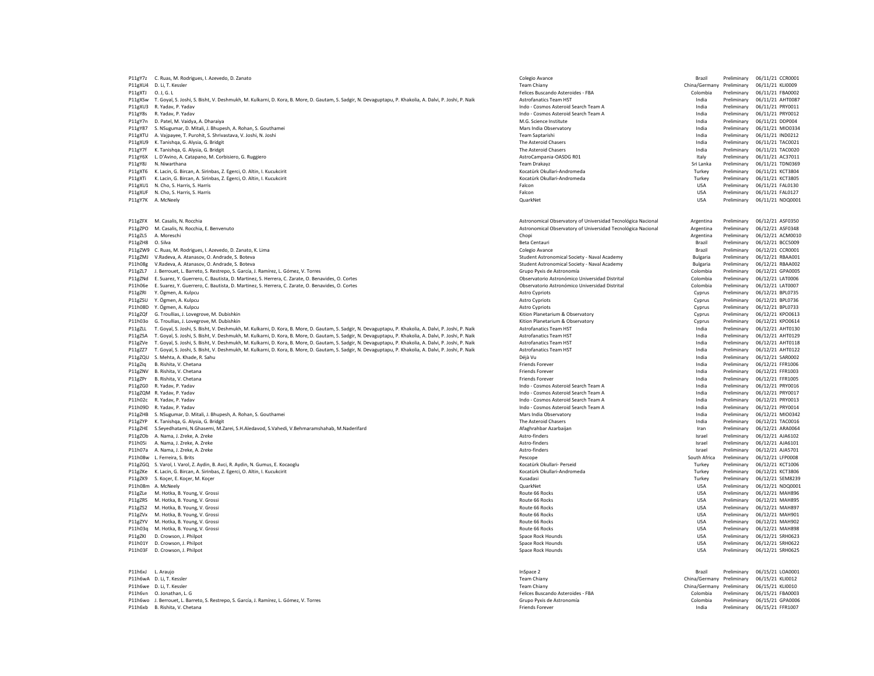| P11gY7z | C. Ruas, M. Rodrigues, I. Azevedo, D. Zanato                                                                                                             | Colegio Avance                                               | Brazil          | Preliminary | 06/11/21 CCR0001             |
|---------|----------------------------------------------------------------------------------------------------------------------------------------------------------|--------------------------------------------------------------|-----------------|-------------|------------------------------|
| P11gXU4 | D. Li, T. Kessler                                                                                                                                        | <b>Team Chiany</b>                                           | China/Germany   | Preliminary | 06/11/21 KLI0009             |
| P11gXTJ | 0.1.6.1                                                                                                                                                  | Felices Buscando Asteroides - FBA                            | Colombia        | Preliminary | 06/11/21 FBA0002             |
| P11gXSw | T. Goyal, S. Joshi, S. Bisht, V. Deshmukh, M. Kulkarni, D. Kora, B. More, D. Gautam, S. Sadgir, N. Devaguptapu, P. Khakolia, A. Dalvi, P. Joshi, P. Naik | <b>Astrofanatics Team HST</b>                                | India           | Preliminary | 06/11/21 AHT0087             |
| P11gXU3 | R. Yaday, P. Yaday                                                                                                                                       | Indo - Cosmos Asteroid Search Team A                         | India           | Preliminary | 06/11/21 PRY0011             |
| P11gY8s | R. Yaday, P. Yaday                                                                                                                                       | Indo - Cosmos Asteroid Search Team A                         | India           | Preliminary | 06/11/21 PRY0012             |
| P11gY7n | D. Patel, M. Vaidva, A. Dharaiva                                                                                                                         | M.G. Science Institute                                       | India           | Preliminary | 06/11/21 DDP004              |
| P11gY87 | S. NSugumar, D. Mitali, J. Bhupesh, A. Rohan, S. Gouthamei                                                                                               | Mars India Observatory                                       | India           | Preliminary | 06/11/21 MIO0334             |
| P11gXTU | A. Vajpayee, T. Purohit, S. Shrivastava, V. Joshi, N. Joshi                                                                                              | <b>Team Santarishi</b>                                       | India           | Preliminary | 06/11/21 IND0212             |
| P11gXU9 | K. Tanishga, G. Alysia, G. Bridgit                                                                                                                       | The Asteroid Chasers<br>The Asteroid Chasers                 | India           | Preliminary | 06/11/21 TAC0021             |
| P11gY7f | K. Tanishga, G. Alysia, G. Bridgit                                                                                                                       |                                                              | India           | Preliminary | 06/11/21 TAC0020             |
| P11gY6X | L. D'Avino, A. Catapano, M. Corbisiero, G. Ruggiero<br>N. Niwarthana                                                                                     | AstroCampania-OASDG R01                                      | Italy           | Preliminary | 06/11/21 AC37011             |
| P11gY8J |                                                                                                                                                          | Team Drakayz                                                 | Sri Lanka       | Preliminary | 06/11/21 TDN0369             |
| P11gXT6 | K. Lacin, G. Bircan, A. Sirinbas, Z. Egerci, O. Altin, I. Kucukcirit                                                                                     | Kocatürk Okullari-Andromeda                                  | Turkey          | Preliminary | 06/11/21 KCT3804             |
| P11gXTi | K. Lacin, G. Bircan, A. Sirinbas, Z. Egerci, O. Altin, I. Kucukcirit                                                                                     | Kocatürk Okullari-Andromeda                                  | Turkey          | Preliminary | 06/11/21 KCT3805             |
| P11gXU1 | N. Cho, S. Harris, S. Harris                                                                                                                             | Falcon                                                       | <b>USA</b>      | Preliminary | 06/11/21 FAL0130             |
| P11gXUF | N. Cho. S. Harris, S. Harris                                                                                                                             | Falcon                                                       | <b>USA</b>      | Preliminary | 06/11/21 FAL0127             |
| P11gY7K | A. McNeely                                                                                                                                               | QuarkNet                                                     | <b>USA</b>      | Preliminary | 06/11/21 NDQ0001             |
| P11gZFX | M. Casalis, N. Rocchia                                                                                                                                   | Astronomical Observatory of Universidad Tecnológica Nacional | Argentina       | Preliminary | 06/12/21 ASF0350             |
| P11gZPO | M. Casalis, N. Rocchia, E. Benvenuto                                                                                                                     | Astronomical Observatory of Universidad Tecnológica Nacional | Argentina       | Preliminary | 06/12/21 ASF0348             |
| P11gZL5 | A. Moreschi                                                                                                                                              | Chopi                                                        | Argentina       | Preliminary | 06/12/21 ACM0010             |
| P11gZH8 | O. Silva                                                                                                                                                 | Beta Centauri                                                | Brazil          | Preliminary | 06/12/21 BCC5009             |
| P11gZW9 | C. Ruas, M. Rodrigues, I. Azevedo, D. Zanato, K. Lima                                                                                                    | Colegio Avance                                               | Brazil          | Preliminary | 06/12/21 CCR0001             |
| P11gZMJ | V.Radeva, A. Atanasov, O. Andrade, S. Boteva                                                                                                             | Student Astronomical Society - Naval Academy                 | <b>Bulgaria</b> | Preliminary | 06/12/21 RBAA001             |
| P11h08g | V.Radeva, A. Atanasov, O. Andrade, S. Boteva                                                                                                             | Student Astronomical Society - Naval Academy                 | <b>Bulgaria</b> | Preliminary | 06/12/21 RBAA002             |
| P11gZL7 | J. Berrouet, L. Barreto, S. Restrepo, S. García, J. Ramírez, L. Gómez, V. Torres                                                                         | Gruno Pyxis de Astronomía                                    | Colombia        | Preliminary | 06/12/21 GPA0005             |
| P11gZNd | E. Suarez, Y. Guerrero, C. Bautista, D. Martinez, S. Herrera, C. Zarate, O. Benavides, O. Cortes                                                         | Observatorio Astronómico Universidad Distrital               | Colombia        | Preliminary | 06/12/21 LAT0006             |
| P11h06e | E. Suarez, Y. Guerrero, C. Bautista, D. Martinez, S. Herrera, C. Zarate, O. Benavides, O. Cortes                                                         | Observatorio Astronómico Universidad Distrital               | Colombia        | Preliminary | 06/12/21 LAT0007             |
| P11gZRI | Y. Ögmen, A. Kulpcu                                                                                                                                      | Astro Cypriots                                               | Cyprus          | Preliminary | 06/12/21 BPL0735             |
| P11gZSU | Y. Ögmen, A. Kulpcu                                                                                                                                      | <b>Astro Cypriots</b>                                        | Cyprus          | Preliminary | 06/12/21 BPL0736             |
| P11h08D | Y. Ögmen, A. Kulpcu                                                                                                                                      | <b>Astro Cypriots</b>                                        | Cyprus          | Preliminary | 06/12/21 BPL0733             |
| P11gZQf | G. Troullias, J. Lovegrove, M. Dubishkin                                                                                                                 | Kition Planetarium & Observatory                             | Cyprus          | Preliminary | 06/12/21 KPO0613             |
| P11h03o | G. Troullias, J. Lovegrove, M. Dubishkin                                                                                                                 | Kition Planetarium & Observatory                             | Cyprus          | Preliminary | 06/12/21 KPO0614             |
| P11gZLL | T. Goyal, S. Joshi, S. Bisht, V. Deshmukh, M. Kulkarni, D. Kora, B. More, D. Gautam, S. Sadgir, N. Devaguptapu, P. Khakolia, A. Dalvi, P. Joshi, P. Naik | <b>Astrofanatics Team HST</b>                                | India           | Preliminary | 06/12/21 AHT0130             |
| P11gZSA | T. Goyal, S. Joshi, S. Bisht, V. Deshmukh, M. Kulkarni, D. Kora, B. More, D. Gautam, S. Sadgir, N. Devaguptapu, P. Khakolia, A. Dalvi, P. Joshi, P. Naik | <b>Astrofanatics Team HST</b>                                | India           | Preliminary | 06/12/21 AHT0129             |
| P11gZVe | T. Goyal, S. Joshi, S. Bisht, V. Deshmukh, M. Kulkarni, D. Kora, B. More, D. Gautam, S. Sadgir, N. Devaguptapu, P. Khakolia, A. Dalvi, P. Joshi, P. Naik | <b>Astrofanatics Team HST</b>                                | India           | Preliminary | 06/12/21 AHT0118             |
| P11gZZ7 | T. Goyal, S. Joshi, S. Bisht, V. Deshmukh, M. Kulkarni, D. Kora, B. More, D. Gautam, S. Sadgir, N. Devaguptapu, P. Khakolia, A. Dalvi, P. Joshi, P. Naik | Astrofanatics Team HST                                       | India           | Preliminary | 06/12/21 AHT0122             |
| P11gZQU | S. Mehta, A. Khade, R. Sahu                                                                                                                              | Déià Vu                                                      | India           | Preliminary | 06/12/21 SAR0002             |
| P11gZlq | B. Rishita, V. Chetana                                                                                                                                   | Friends Forever                                              | India           | Preliminary | 06/12/21 FFR1006             |
| P11gZNV | B. Rishita, V. Chetana                                                                                                                                   | <b>Friends Forever</b>                                       | India           | Preliminary | 06/12/21 FFR1003             |
| P11gZPr | B. Rishita, V. Chetana                                                                                                                                   | <b>Friends Forever</b>                                       | India           | Preliminary | 06/12/21 FFR1005             |
| P11gZG0 | R. Yaday, P. Yaday                                                                                                                                       | Indo - Cosmos Asteroid Search Team A                         | India           | Preliminary | 06/12/21 PRY0016             |
| P11gZQM | R. Yaday, P. Yaday                                                                                                                                       | Indo - Cosmos Asteroid Search Team A                         | India           | Preliminary | 06/12/21 PRY0017             |
| P11h02c | R. Yaday, P. Yaday                                                                                                                                       | Indo - Cosmos Asteroid Search Team A                         | India           | Preliminary | 06/12/21 PRY0013             |
| P11h09D | R. Yaday, P. Yaday                                                                                                                                       | Indo - Cosmos Asteroid Search Team A                         | India           | Preliminary | 06/12/21 PRY0014             |
| P11gZHB | S. NSugumar, D. Mitali, J. Bhupesh, A. Rohan, S. Gouthamei                                                                                               | Mars India Observatory                                       | India           | Preliminary | 06/12/21 MIO0342             |
| P11gZYP | K. Tanishga, G. Alysia, G. Bridgit                                                                                                                       | The Asteroid Chasers                                         | India           | Preliminary | 06/12/21 TAC0016             |
| P11gZHE | S.Seyedhatami, N.Ghasemi, M.Zarei, S.H.Aledavod, S.Vahedi, V.Behmaramshahab, M.Naderifard                                                                | Afaghrahbar Azarbaijan                                       | Iran            | Preliminary | 06/12/21 ARA0064             |
| P11gZOb | A. Nama, J. Zreke, A. Zreke                                                                                                                              | Astro-finders                                                | Israel          | Preliminary | 06/12/21 AIA6102             |
| P11h05i | A. Nama, J. Zreke, A. Zreke                                                                                                                              | Astro-finders                                                | Israel          | Preliminary | 06/12/21 AJA6101             |
| P11h07a | A. Nama, J. Zreke, A. Zreke                                                                                                                              | Astro-finders                                                | Israel          | Preliminary | 06/12/21 AJA5701             |
| P11h08w | L. Ferreira, S. Brits                                                                                                                                    | Pescope                                                      | South Africa    | Preliminary | 06/12/21 LFP0008             |
| P11gZGO | S. Varol, I. Varol, Z. Aydin, B. Avci, R. Aydin, N. Gumus, E. Kocaoglu                                                                                   | Kocatürk Okullari- Perseid                                   | Turkey          | Preliminary | 06/12/21 KCT1006             |
| P11gZKe | K. Lacin, G. Bircan, A. Sirinbas, Z. Egerci, O. Altin, I. Kucukcirit                                                                                     | Kocatürk Okullari-Andromeda                                  | Turkey          | Preliminary | 06/12/21 KCT3806             |
| P11gZK9 | S. Kocer, E. Kocer, M. Kocer                                                                                                                             | Kusadasi                                                     | Turkey          | Preliminary | 06/12/21 SEM8239             |
| P11h08m | A. McNeely                                                                                                                                               | QuarkNet                                                     | <b>USA</b>      | Preliminary | 06/12/21 NDQ0001             |
| P11gZLe | M. Hotka, B. Young, V. Grossi                                                                                                                            | Route 66 Rocks                                               | <b>USA</b>      | Preliminary | 06/12/21 MAH896              |
| P11gZRS | M. Hotka, B. Young, V. Grossi                                                                                                                            | Route 66 Rocks                                               | <b>USA</b>      | Preliminary | 06/12/21 MAH895              |
| P11gZS2 | M. Hotka, B. Young, V. Grossi                                                                                                                            | Route 66 Rocks                                               | <b>USA</b>      | Preliminary | 06/12/21 MAH897              |
| P11gZVx | M. Hotka, B. Young, V. Grossi                                                                                                                            | Route 66 Rocks                                               | <b>USA</b>      | Preliminary | 06/12/21 MAH901              |
| P11gZYV | M. Hotka, B. Young, V. Grossi                                                                                                                            | Route 66 Rocks                                               | <b>USA</b>      | Preliminary | 06/12/21 MAH902              |
| P11h03g | M. Hotka, B. Young, V. Grossi                                                                                                                            | Route 66 Rocks                                               | <b>USA</b>      | Preliminary | 06/12/21 MAH898              |
| P11gZKI | D. Crowson, J. Philpot                                                                                                                                   | Space Rock Hounds                                            | <b>USA</b>      | Preliminary | 06/12/21 SRH0623             |
| P11h01Y | D. Crowson, J. Philpot                                                                                                                                   | Space Rock Hounds                                            | <b>USA</b>      | Preliminary | 06/12/21 SRH0622             |
| P11h03F | D. Crowson, J. Philpot                                                                                                                                   | Space Rock Hounds                                            | <b>USA</b>      | Preliminary | 06/12/21 SRH0625             |
| P11h6xI | L. Araujo                                                                                                                                                | InSpace 2                                                    | Brazil          | Preliminary | 06/15/21 LOA0001             |
| P11h6wA | D. Li. T. Kessler                                                                                                                                        | <b>Team Chiany</b>                                           | China/Germany   | Preliminary | 06/15/21 KLI0012             |
|         | P11h6we D. Li. T. Kessler                                                                                                                                | <b>Team Chiany</b>                                           | China/Germany   | Preliminary | 06/15/21 KLI0010             |
| P11h6vn | O. Jonathan, L. G                                                                                                                                        | Felices Buscando Asteroides - FBA                            | Colombia        | Preliminary | 06/15/21 FBA0003             |
|         | P11h6wo J. Berrouet, L. Barreto, S. Restrepo, S. García, J. Ramírez, L. Gómez, V. Torres                                                                 | Grupo Pyxis de Astronomía                                    | Colombia        | Preliminary | 06/15/21 GPA0006             |
|         | P11h6xb B. Rishita, V. Chetana                                                                                                                           | <b>Friends Forever</b>                                       | India           |             | Preliminary 06/15/21 FFR1007 |
|         |                                                                                                                                                          |                                                              |                 |             |                              |